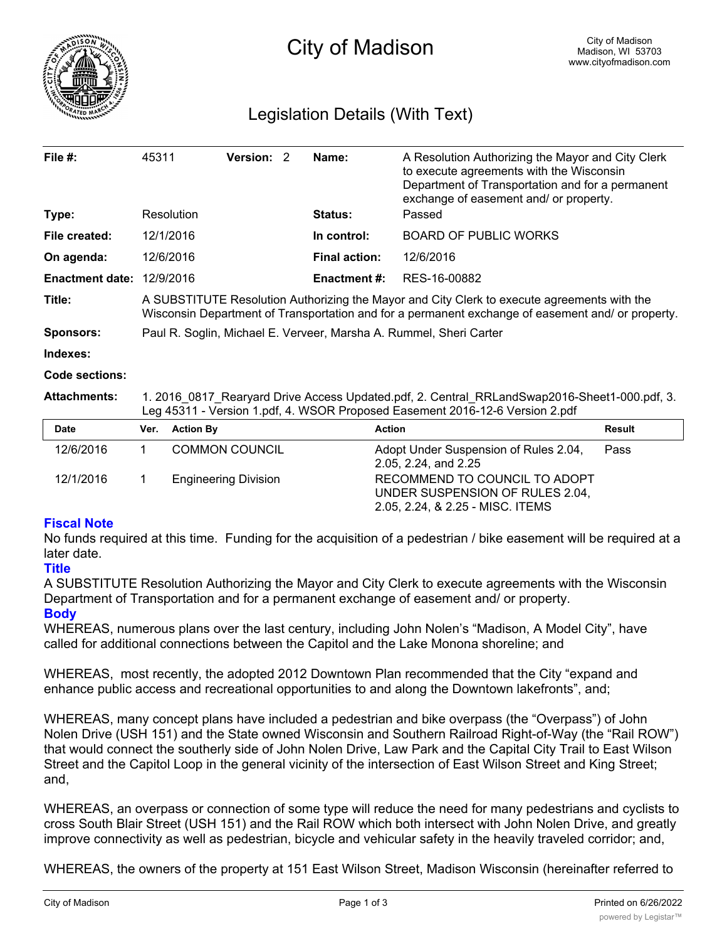

# Legislation Details (With Text)

| File $#$ :             | 45311                                                                                                                                                                                            | <b>Version: 2</b> |  | Name:                | A Resolution Authorizing the Mayor and City Clerk<br>to execute agreements with the Wisconsin<br>Department of Transportation and for a permanent<br>exchange of easement and/ or property. |                   |  |  |
|------------------------|--------------------------------------------------------------------------------------------------------------------------------------------------------------------------------------------------|-------------------|--|----------------------|---------------------------------------------------------------------------------------------------------------------------------------------------------------------------------------------|-------------------|--|--|
| Type:                  |                                                                                                                                                                                                  | Resolution        |  | <b>Status:</b>       | Passed                                                                                                                                                                                      |                   |  |  |
| File created:          |                                                                                                                                                                                                  | 12/1/2016         |  | In control:          | <b>BOARD OF PUBLIC WORKS</b>                                                                                                                                                                |                   |  |  |
| On agenda:             |                                                                                                                                                                                                  | 12/6/2016         |  | <b>Final action:</b> | 12/6/2016                                                                                                                                                                                   |                   |  |  |
| <b>Enactment date:</b> |                                                                                                                                                                                                  | 12/9/2016         |  | <b>Enactment #:</b>  | RES-16-00882                                                                                                                                                                                |                   |  |  |
| Title:                 | A SUBSTITUTE Resolution Authorizing the Mayor and City Clerk to execute agreements with the<br>Wisconsin Department of Transportation and for a permanent exchange of easement and/ or property. |                   |  |                      |                                                                                                                                                                                             |                   |  |  |
| <b>Sponsors:</b>       | Paul R. Soglin, Michael E. Verveer, Marsha A. Rummel, Sheri Carter                                                                                                                               |                   |  |                      |                                                                                                                                                                                             |                   |  |  |
| Indexes:               |                                                                                                                                                                                                  |                   |  |                      |                                                                                                                                                                                             |                   |  |  |
| Code sections:         |                                                                                                                                                                                                  |                   |  |                      |                                                                                                                                                                                             |                   |  |  |
| <b>Attachments:</b>    | 1. 2016 0817 Rearyard Drive Access Updated.pdf, 2. Central RRLandSwap2016-Sheet1-000.pdf, 3.<br>Leg 45311 - Version 1.pdf, 4. WSOR Proposed Easement 2016-12-6 Version 2.pdf                     |                   |  |                      |                                                                                                                                                                                             |                   |  |  |
| Date                   | Ver.                                                                                                                                                                                             | <b>Action By</b>  |  | <b>Action</b>        |                                                                                                                                                                                             | <b>Result</b>     |  |  |
| 101010010              | $\overline{ }$                                                                                                                                                                                   | OMIMANOMINOM      |  |                      | Adopt Under Cusponsion of Dules 2.04                                                                                                                                                        | Dooo <sup>n</sup> |  |  |

| Dale      | VEI. ACUUIDY                | ACUOIL                                                                                               | resuit |
|-----------|-----------------------------|------------------------------------------------------------------------------------------------------|--------|
| 12/6/2016 | COMMON COUNCIL              | Adopt Under Suspension of Rules 2.04,<br>2.05, 2.24, and 2.25                                        | Pass   |
| 12/1/2016 | <b>Engineering Division</b> | RECOMMEND TO COUNCIL TO ADOPT<br>UNDER SUSPENSION OF RULES 2.04.<br>2.05, 2.24, & 2.25 - MISC. ITEMS |        |

### **Fiscal Note**

No funds required at this time. Funding for the acquisition of a pedestrian / bike easement will be required at a later date.

### **Title**

A SUBSTITUTE Resolution Authorizing the Mayor and City Clerk to execute agreements with the Wisconsin Department of Transportation and for a permanent exchange of easement and/ or property.

## **Body**

WHEREAS, numerous plans over the last century, including John Nolen's "Madison, A Model City", have called for additional connections between the Capitol and the Lake Monona shoreline; and

WHEREAS, most recently, the adopted 2012 Downtown Plan recommended that the City "expand and enhance public access and recreational opportunities to and along the Downtown lakefronts", and;

WHEREAS, many concept plans have included a pedestrian and bike overpass (the "Overpass") of John Nolen Drive (USH 151) and the State owned Wisconsin and Southern Railroad Right-of-Way (the "Rail ROW") that would connect the southerly side of John Nolen Drive, Law Park and the Capital City Trail to East Wilson Street and the Capitol Loop in the general vicinity of the intersection of East Wilson Street and King Street; and,

WHEREAS, an overpass or connection of some type will reduce the need for many pedestrians and cyclists to cross South Blair Street (USH 151) and the Rail ROW which both intersect with John Nolen Drive, and greatly improve connectivity as well as pedestrian, bicycle and vehicular safety in the heavily traveled corridor; and,

WHEREAS, the owners of the property at 151 East Wilson Street, Madison Wisconsin (hereinafter referred to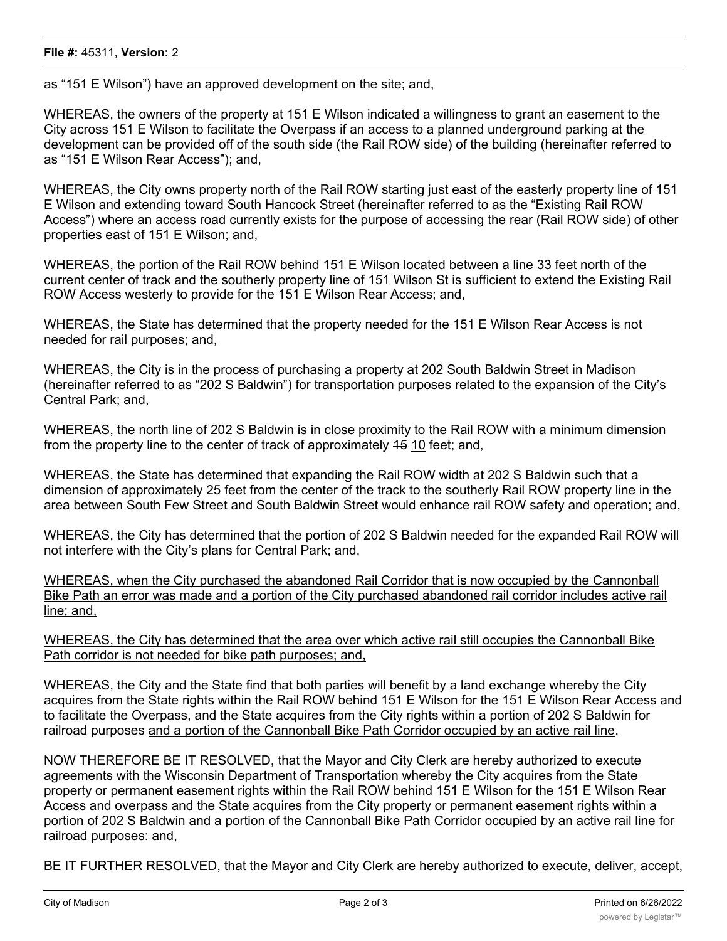as "151 E Wilson") have an approved development on the site; and,

WHEREAS, the owners of the property at 151 E Wilson indicated a willingness to grant an easement to the City across 151 E Wilson to facilitate the Overpass if an access to a planned underground parking at the development can be provided off of the south side (the Rail ROW side) of the building (hereinafter referred to as "151 E Wilson Rear Access"); and,

WHEREAS, the City owns property north of the Rail ROW starting just east of the easterly property line of 151 E Wilson and extending toward South Hancock Street (hereinafter referred to as the "Existing Rail ROW Access") where an access road currently exists for the purpose of accessing the rear (Rail ROW side) of other properties east of 151 E Wilson; and,

WHEREAS, the portion of the Rail ROW behind 151 E Wilson located between a line 33 feet north of the current center of track and the southerly property line of 151 Wilson St is sufficient to extend the Existing Rail ROW Access westerly to provide for the 151 E Wilson Rear Access; and,

WHEREAS, the State has determined that the property needed for the 151 E Wilson Rear Access is not needed for rail purposes; and,

WHEREAS, the City is in the process of purchasing a property at 202 South Baldwin Street in Madison (hereinafter referred to as "202 S Baldwin") for transportation purposes related to the expansion of the City's Central Park; and,

WHEREAS, the north line of 202 S Baldwin is in close proximity to the Rail ROW with a minimum dimension from the property line to the center of track of approximately 15 10 feet; and,

WHEREAS, the State has determined that expanding the Rail ROW width at 202 S Baldwin such that a dimension of approximately 25 feet from the center of the track to the southerly Rail ROW property line in the area between South Few Street and South Baldwin Street would enhance rail ROW safety and operation; and,

WHEREAS, the City has determined that the portion of 202 S Baldwin needed for the expanded Rail ROW will not interfere with the City's plans for Central Park; and,

WHEREAS, when the City purchased the abandoned Rail Corridor that is now occupied by the Cannonball Bike Path an error was made and a portion of the City purchased abandoned rail corridor includes active rail line; and,

WHEREAS, the City has determined that the area over which active rail still occupies the Cannonball Bike Path corridor is not needed for bike path purposes; and,

WHEREAS, the City and the State find that both parties will benefit by a land exchange whereby the City acquires from the State rights within the Rail ROW behind 151 E Wilson for the 151 E Wilson Rear Access and to facilitate the Overpass, and the State acquires from the City rights within a portion of 202 S Baldwin for railroad purposes and a portion of the Cannonball Bike Path Corridor occupied by an active rail line.

NOW THEREFORE BE IT RESOLVED, that the Mayor and City Clerk are hereby authorized to execute agreements with the Wisconsin Department of Transportation whereby the City acquires from the State property or permanent easement rights within the Rail ROW behind 151 E Wilson for the 151 E Wilson Rear Access and overpass and the State acquires from the City property or permanent easement rights within a portion of 202 S Baldwin and a portion of the Cannonball Bike Path Corridor occupied by an active rail line for railroad purposes: and,

BE IT FURTHER RESOLVED, that the Mayor and City Clerk are hereby authorized to execute, deliver, accept,